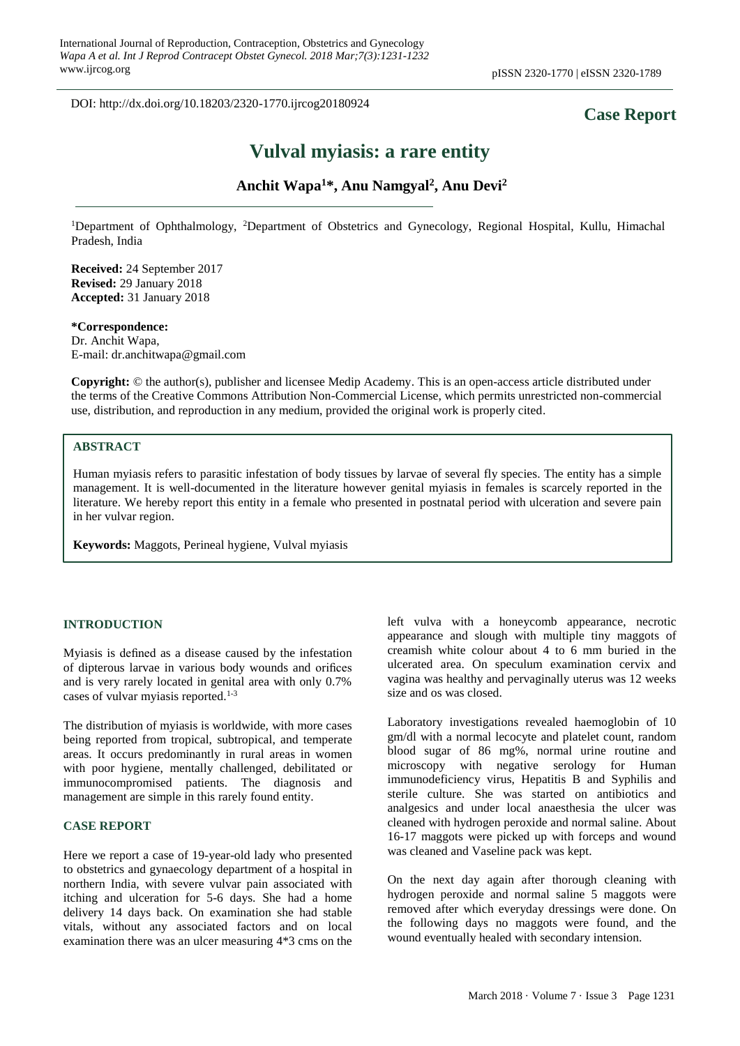DOI: http://dx.doi.org/10.18203/2320-1770.ijrcog20180924

# **Case Report**

# **Vulval myiasis: a rare entity**

# **Anchit Wapa<sup>1</sup>\*, Anu Namgyal<sup>2</sup> , Anu Devi<sup>2</sup>**

<sup>1</sup>Department of Ophthalmology, <sup>2</sup>Department of Obstetrics and Gynecology, Regional Hospital, Kullu, Himachal Pradesh, India

**Received:** 24 September 2017 **Revised:** 29 January 2018 **Accepted:** 31 January 2018

## **\*Correspondence:**

Dr. Anchit Wapa, E-mail: dr.anchitwapa@gmail.com

**Copyright:** © the author(s), publisher and licensee Medip Academy. This is an open-access article distributed under the terms of the Creative Commons Attribution Non-Commercial License, which permits unrestricted non-commercial use, distribution, and reproduction in any medium, provided the original work is properly cited.

# **ABSTRACT**

Human myiasis refers to parasitic infestation of body tissues by larvae of several fly species. The entity has a simple management. It is well-documented in the literature however genital myiasis in females is scarcely reported in the literature. We hereby report this entity in a female who presented in postnatal period with ulceration and severe pain in her vulvar region.

**Keywords:** Maggots, Perineal hygiene, Vulval myiasis

#### **INTRODUCTION**

Myiasis is defined as a disease caused by the infestation of dipterous larvae in various body wounds and orifices and is very rarely located in genital area with only 0.7% cases of vulvar myiasis reported.1-3

The distribution of myiasis is worldwide, with more cases being reported from tropical, subtropical, and temperate areas. It occurs predominantly in rural areas in women with poor hygiene, mentally challenged, debilitated or immunocompromised patients. The diagnosis and management are simple in this rarely found entity.

#### **CASE REPORT**

Here we report a case of 19-year-old lady who presented to obstetrics and gynaecology department of a hospital in northern India, with severe vulvar pain associated with itching and ulceration for 5-6 days. She had a home delivery 14 days back. On examination she had stable vitals, without any associated factors and on local examination there was an ulcer measuring 4\*3 cms on the left vulva with a honeycomb appearance, necrotic appearance and slough with multiple tiny maggots of creamish white colour about 4 to 6 mm buried in the ulcerated area. On speculum examination cervix and vagina was healthy and pervaginally uterus was 12 weeks size and os was closed.

Laboratory investigations revealed haemoglobin of 10 gm/dl with a normal lecocyte and platelet count, random blood sugar of 86 mg%, normal urine routine and microscopy with negative serology for Human immunodeficiency virus, Hepatitis B and Syphilis and sterile culture. She was started on antibiotics and analgesics and under local anaesthesia the ulcer was cleaned with hydrogen peroxide and normal saline. About 16-17 maggots were picked up with forceps and wound was cleaned and Vaseline pack was kept.

On the next day again after thorough cleaning with hydrogen peroxide and normal saline 5 maggots were removed after which everyday dressings were done. On the following days no maggots were found, and the wound eventually healed with secondary intension.